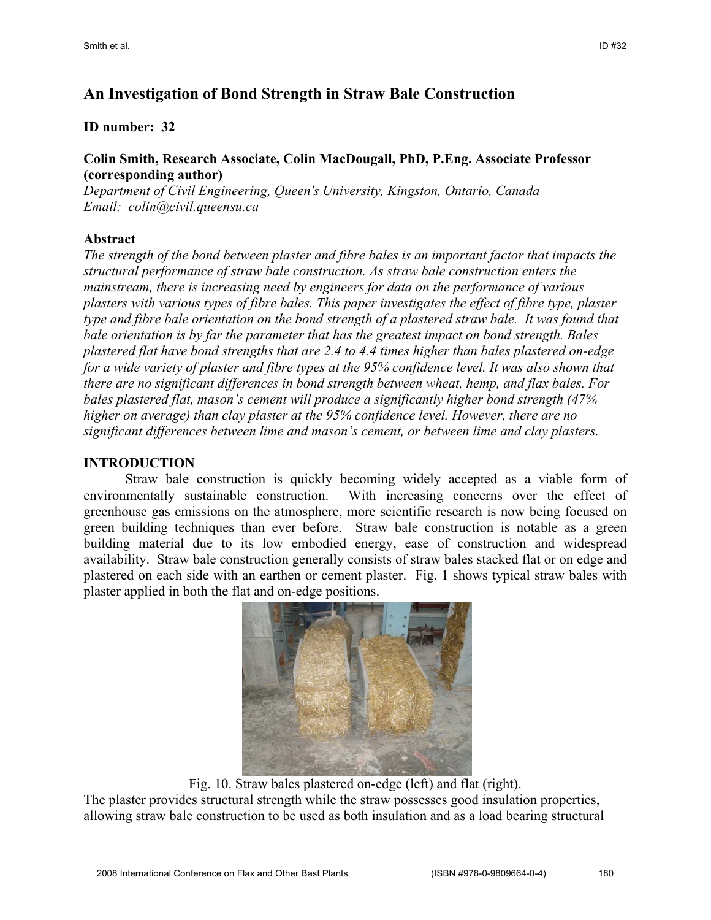# **An Investigation of Bond Strength in Straw Bale Construction**

### **ID number: 32**

#### **Colin Smith, Research Associate, Colin MacDougall, PhD, P.Eng. Associate Professor (corresponding author)**

*Department of Civil Engineering, Queen's University, Kingston, Ontario, Canada Email: colin@civil.queensu.ca* 

#### **Abstract**

*The strength of the bond between plaster and fibre bales is an important factor that impacts the structural performance of straw bale construction. As straw bale construction enters the mainstream, there is increasing need by engineers for data on the performance of various plasters with various types of fibre bales. This paper investigates the effect of fibre type, plaster type and fibre bale orientation on the bond strength of a plastered straw bale. It was found that bale orientation is by far the parameter that has the greatest impact on bond strength. Bales plastered flat have bond strengths that are 2.4 to 4.4 times higher than bales plastered on-edge for a wide variety of plaster and fibre types at the 95% confidence level. It was also shown that there are no significant differences in bond strength between wheat, hemp, and flax bales. For bales plastered flat, mason's cement will produce a significantly higher bond strength (47% higher on average) than clay plaster at the 95% confidence level. However, there are no significant differences between lime and mason's cement, or between lime and clay plasters.* 

## **INTRODUCTION**

Straw bale construction is quickly becoming widely accepted as a viable form of environmentally sustainable construction. With increasing concerns over the effect of greenhouse gas emissions on the atmosphere, more scientific research is now being focused on green building techniques than ever before. Straw bale construction is notable as a green building material due to its low embodied energy, ease of construction and widespread availability. Straw bale construction generally consists of straw bales stacked flat or on edge and plastered on each side with an earthen or cement plaster. Fig. 1 shows typical straw bales with plaster applied in both the flat and on-edge positions.



Fig. 10. Straw bales plastered on-edge (left) and flat (right).

The plaster provides structural strength while the straw possesses good insulation properties, allowing straw bale construction to be used as both insulation and as a load bearing structural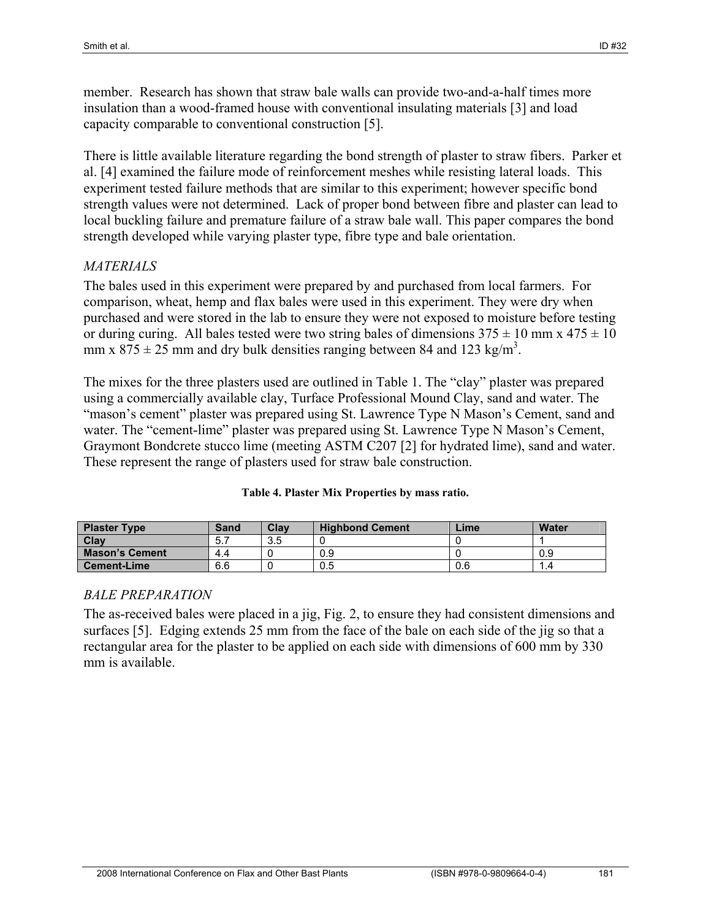member. Research has shown that straw bale walls can provide two-and-a-half times more insulation than a wood-framed house with conventional insulating materials [3] and load capacity comparable to conventional construction [5].

There is little available literature regarding the bond strength of plaster to straw fibers. Parker et al. [4] examined the failure mode of reinforcement meshes while resisting lateral loads. This experiment tested failure methods that are similar to this experiment; however specific bond strength values were not determined. Lack of proper bond between fibre and plaster can lead to local buckling failure and premature failure of a straw bale wall. This paper compares the bond strength developed while varying plaster type, fibre type and bale orientation.

### *MATERIALS*

The bales used in this experiment were prepared by and purchased from local farmers. For comparison, wheat, hemp and flax bales were used in this experiment. They were dry when purchased and were stored in the lab to ensure they were not exposed to moisture before testing or during curing. All bales tested were two string bales of dimensions  $375 \pm 10$  mm x  $475 \pm 10$ mm x  $875 \pm 25$  mm and dry bulk densities ranging between 84 and 123 kg/m<sup>3</sup>.

The mixes for the three plasters used are outlined in Table 1. The "clay" plaster was prepared using a commercially available clay, Turface Professional Mound Clay, sand and water. The "mason's cement" plaster was prepared using St. Lawrence Type N Mason's Cement, sand and water. The "cement-lime" plaster was prepared using St. Lawrence Type N Mason's Cement, Graymont Bondcrete stucco lime (meeting ASTM C207 [2] for hydrated lime), sand and water. These represent the range of plasters used for straw bale construction.

| <b>Plaster Type</b>   | <b>Sand</b> | Clav | <b>Highbond Cement</b> | Lime | <b>Water</b> |
|-----------------------|-------------|------|------------------------|------|--------------|
| Clav                  | 5.7         | 3.5  |                        |      |              |
| <b>Mason's Cement</b> | 4.4         |      | 0.9                    |      | 0.9          |
| <b>Cement-Lime</b>    | 6.6         |      | 0.5                    | 0.6  | 1.4          |

#### **Table 4. Plaster Mix Properties by mass ratio.**

#### *BALE PREPARATION*

The as-received bales were placed in a jig, Fig. 2, to ensure they had consistent dimensions and surfaces [5]. Edging extends 25 mm from the face of the bale on each side of the jig so that a rectangular area for the plaster to be applied on each side with dimensions of 600 mm by 330 mm is available.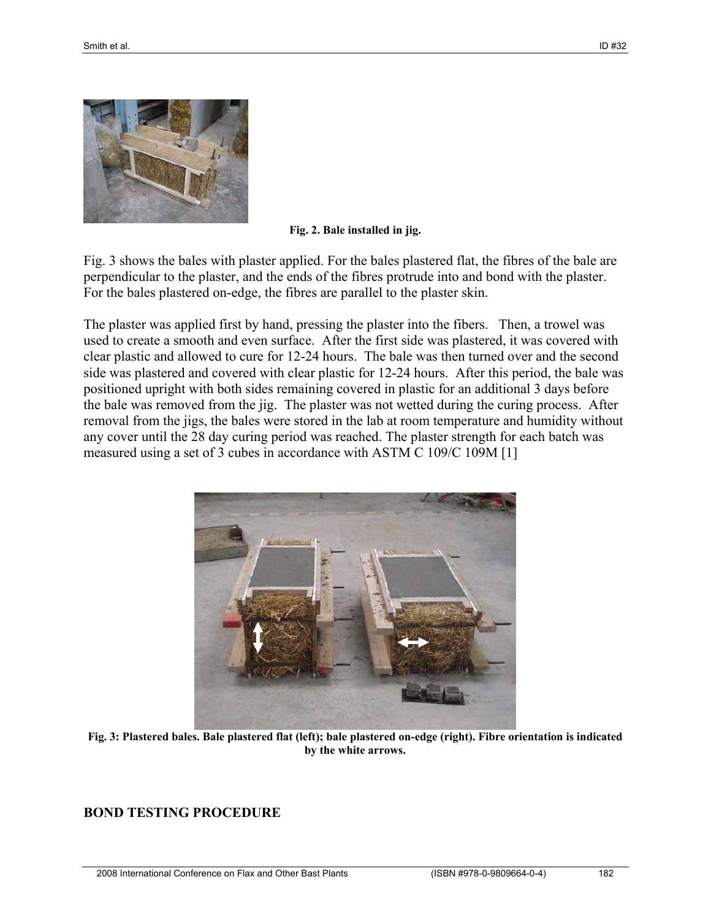

**Fig. 2. Bale installed in jig.** 

Fig. 3 shows the bales with plaster applied. For the bales plastered flat, the fibres of the bale are perpendicular to the plaster, and the ends of the fibres protrude into and bond with the plaster. For the bales plastered on-edge, the fibres are parallel to the plaster skin.

The plaster was applied first by hand, pressing the plaster into the fibers. Then, a trowel was used to create a smooth and even surface. After the first side was plastered, it was covered with clear plastic and allowed to cure for 12-24 hours. The bale was then turned over and the second side was plastered and covered with clear plastic for 12-24 hours. After this period, the bale was positioned upright with both sides remaining covered in plastic for an additional 3 days before the bale was removed from the jig. The plaster was not wetted during the curing process. After removal from the jigs, the bales were stored in the lab at room temperature and humidity without any cover until the 28 day curing period was reached. The plaster strength for each batch was measured using a set of 3 cubes in accordance with ASTM C 109/C 109M [1]



**Fig. 3: Plastered bales. Bale plastered flat (left); bale plastered on-edge (right). Fibre orientation is indicated by the white arrows.** 

#### **BOND TESTING PROCEDURE**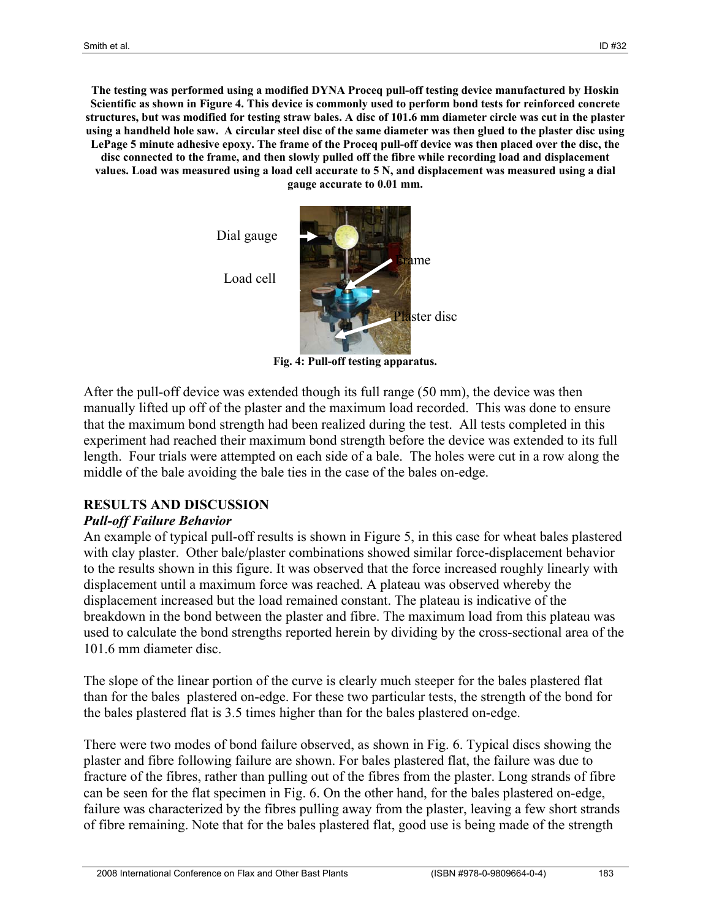**The testing was performed using a modified DYNA Proceq pull-off testing device manufactured by Hoskin Scientific as shown in Figure 4. This device is commonly used to perform bond tests for reinforced concrete structures, but was modified for testing straw bales. A disc of 101.6 mm diameter circle was cut in the plaster using a handheld hole saw. A circular steel disc of the same diameter was then glued to the plaster disc using LePage 5 minute adhesive epoxy. The frame of the Proceq pull-off device was then placed over the disc, the disc connected to the frame, and then slowly pulled off the fibre while recording load and displacement values. Load was measured using a load cell accurate to 5 N, and displacement was measured using a dial gauge accurate to 0.01 mm.** 

Dial gauge





**Fig. 4: Pull-off testing apparatus.** 

After the pull-off device was extended though its full range (50 mm), the device was then manually lifted up off of the plaster and the maximum load recorded. This was done to ensure that the maximum bond strength had been realized during the test. All tests completed in this experiment had reached their maximum bond strength before the device was extended to its full length. Four trials were attempted on each side of a bale. The holes were cut in a row along the middle of the bale avoiding the bale ties in the case of the bales on-edge.

#### **RESULTS AND DISCUSSION**

#### *Pull-off Failure Behavior*

An example of typical pull-off results is shown in Figure 5, in this case for wheat bales plastered with clay plaster. Other bale/plaster combinations showed similar force-displacement behavior to the results shown in this figure. It was observed that the force increased roughly linearly with displacement until a maximum force was reached. A plateau was observed whereby the displacement increased but the load remained constant. The plateau is indicative of the breakdown in the bond between the plaster and fibre. The maximum load from this plateau was used to calculate the bond strengths reported herein by dividing by the cross-sectional area of the 101.6 mm diameter disc.

The slope of the linear portion of the curve is clearly much steeper for the bales plastered flat than for the bales plastered on-edge. For these two particular tests, the strength of the bond for the bales plastered flat is 3.5 times higher than for the bales plastered on-edge.

There were two modes of bond failure observed, as shown in Fig. 6. Typical discs showing the plaster and fibre following failure are shown. For bales plastered flat, the failure was due to fracture of the fibres, rather than pulling out of the fibres from the plaster. Long strands of fibre can be seen for the flat specimen in Fig. 6. On the other hand, for the bales plastered on-edge, failure was characterized by the fibres pulling away from the plaster, leaving a few short strands of fibre remaining. Note that for the bales plastered flat, good use is being made of the strength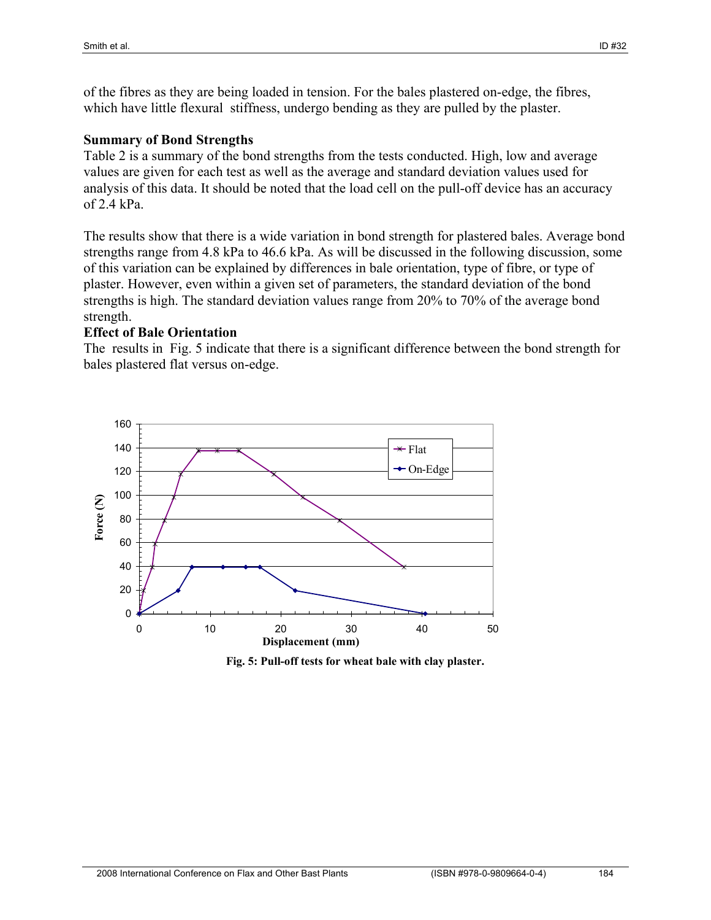of the fibres as they are being loaded in tension. For the bales plastered on-edge, the fibres, which have little flexural stiffness, undergo bending as they are pulled by the plaster.

#### **Summary of Bond Strengths**

Table 2 is a summary of the bond strengths from the tests conducted. High, low and average values are given for each test as well as the average and standard deviation values used for analysis of this data. It should be noted that the load cell on the pull-off device has an accuracy of 2.4 kPa.

The results show that there is a wide variation in bond strength for plastered bales. Average bond strengths range from 4.8 kPa to 46.6 kPa. As will be discussed in the following discussion, some of this variation can be explained by differences in bale orientation, type of fibre, or type of plaster. However, even within a given set of parameters, the standard deviation of the bond strengths is high. The standard deviation values range from 20% to 70% of the average bond strength.

#### **Effect of Bale Orientation**

The results in Fig. 5 indicate that there is a significant difference between the bond strength for bales plastered flat versus on-edge.



**Fig. 5: Pull-off tests for wheat bale with clay plaster.**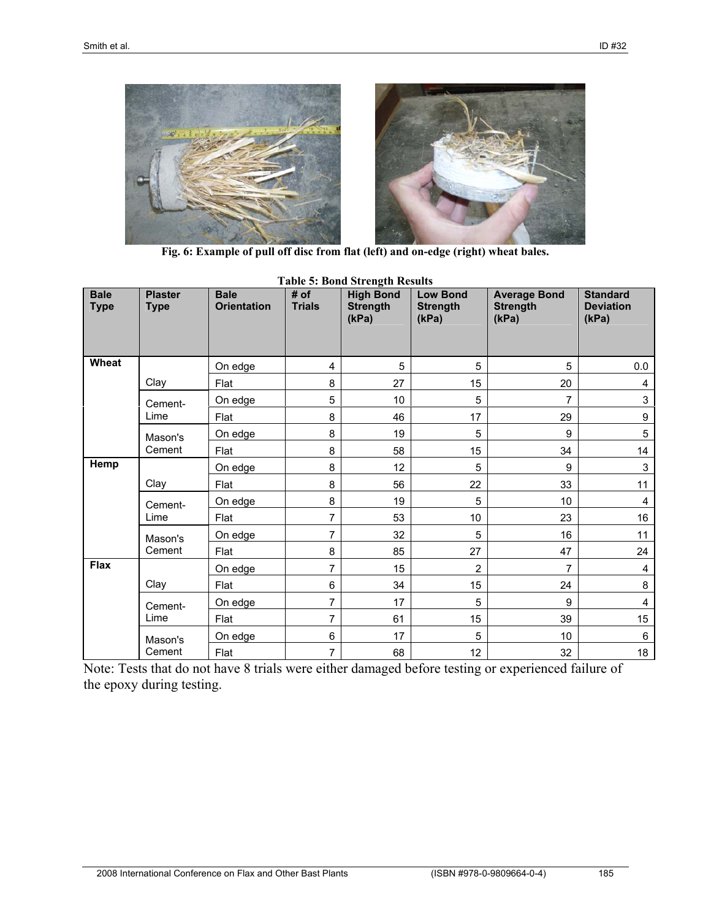

**Fig. 6: Example of pull off disc from flat (left) and on-edge (right) wheat bales.** 

| <b>Bale</b><br><b>Type</b> | <b>Plaster</b><br><b>Type</b> | <b>Bale</b><br><b>Orientation</b> | # of<br><b>Trials</b> | <b>High Bond</b><br><b>Strength</b><br>(kPa) | <b>Low Bond</b><br><b>Strength</b><br>(kPa) | <b>Average Bond</b><br><b>Strength</b><br>(kPa) | <b>Standard</b><br><b>Deviation</b><br>(kPa) |
|----------------------------|-------------------------------|-----------------------------------|-----------------------|----------------------------------------------|---------------------------------------------|-------------------------------------------------|----------------------------------------------|
|                            |                               |                                   |                       |                                              |                                             |                                                 |                                              |
| Wheat                      |                               | On edge                           | 4                     | 5                                            | 5                                           | 5                                               | 0.0                                          |
|                            | Clay                          | Flat                              | 8                     | 27                                           | 15                                          | 20                                              | 4                                            |
|                            | Cement-                       | On edge                           | 5                     | 10                                           | 5                                           | 7                                               | $\mathsf 3$                                  |
|                            | Lime                          | Flat                              | 8                     | 46                                           | 17                                          | 29                                              | $\boldsymbol{9}$                             |
|                            | Mason's                       | On edge                           | 8                     | 19                                           | 5                                           | 9                                               | $\overline{5}$                               |
|                            | Cement                        | Flat                              | 8                     | 58                                           | 15                                          | 34                                              | 14                                           |
| Hemp                       |                               | On edge                           | 8                     | 12                                           | 5                                           | 9                                               | $\mathsf 3$                                  |
|                            | Clay                          | Flat                              | 8                     | 56                                           | 22                                          | 33                                              | 11                                           |
|                            | Cement-                       | On edge                           | 8                     | 19                                           | 5                                           | 10                                              | 4                                            |
|                            | Lime                          | Flat                              | 7                     | 53                                           | 10                                          | 23                                              | 16                                           |
|                            | Mason's                       | On edge                           | 7                     | 32                                           | 5                                           | 16                                              | 11                                           |
|                            | Cement                        | Flat                              | 8                     | 85                                           | 27                                          | 47                                              | 24                                           |
| <b>Flax</b>                |                               | On edge                           | 7                     | 15                                           | $\overline{2}$                              | 7                                               | 4                                            |
|                            | Clay                          | Flat                              | 6                     | 34                                           | 15                                          | 24                                              | 8                                            |
|                            | Cement-                       | On edge                           | 7                     | 17                                           | 5                                           | 9                                               | 4                                            |
|                            | Lime                          | Flat                              | 7                     | 61                                           | 15                                          | 39                                              | 15                                           |
|                            | Mason's                       | On edge                           | 6                     | 17                                           | 5                                           | 10                                              | 6                                            |
|                            | Cement                        | Flat                              | $\overline{7}$        | 68                                           | 12                                          | 32                                              | 18                                           |

**Table 5: Bond Strength Results** 

Note: Tests that do not have 8 trials were either damaged before testing or experienced failure of the epoxy during testing.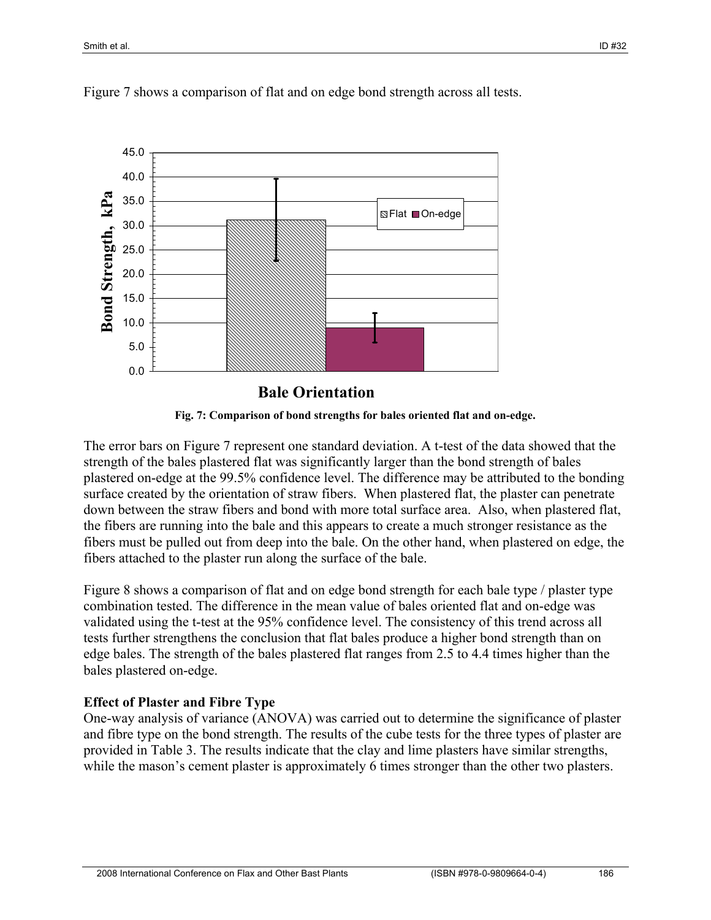

Figure 7 shows a comparison of flat and on edge bond strength across all tests.



The error bars on Figure 7 represent one standard deviation. A t-test of the data showed that the strength of the bales plastered flat was significantly larger than the bond strength of bales plastered on-edge at the 99.5% confidence level. The difference may be attributed to the bonding surface created by the orientation of straw fibers. When plastered flat, the plaster can penetrate down between the straw fibers and bond with more total surface area. Also, when plastered flat, the fibers are running into the bale and this appears to create a much stronger resistance as the fibers must be pulled out from deep into the bale. On the other hand, when plastered on edge, the fibers attached to the plaster run along the surface of the bale.

Figure 8 shows a comparison of flat and on edge bond strength for each bale type / plaster type combination tested. The difference in the mean value of bales oriented flat and on-edge was validated using the t-test at the 95% confidence level. The consistency of this trend across all tests further strengthens the conclusion that flat bales produce a higher bond strength than on edge bales. The strength of the bales plastered flat ranges from 2.5 to 4.4 times higher than the bales plastered on-edge.

## **Effect of Plaster and Fibre Type**

One-way analysis of variance (ANOVA) was carried out to determine the significance of plaster and fibre type on the bond strength. The results of the cube tests for the three types of plaster are provided in Table 3. The results indicate that the clay and lime plasters have similar strengths, while the mason's cement plaster is approximately 6 times stronger than the other two plasters.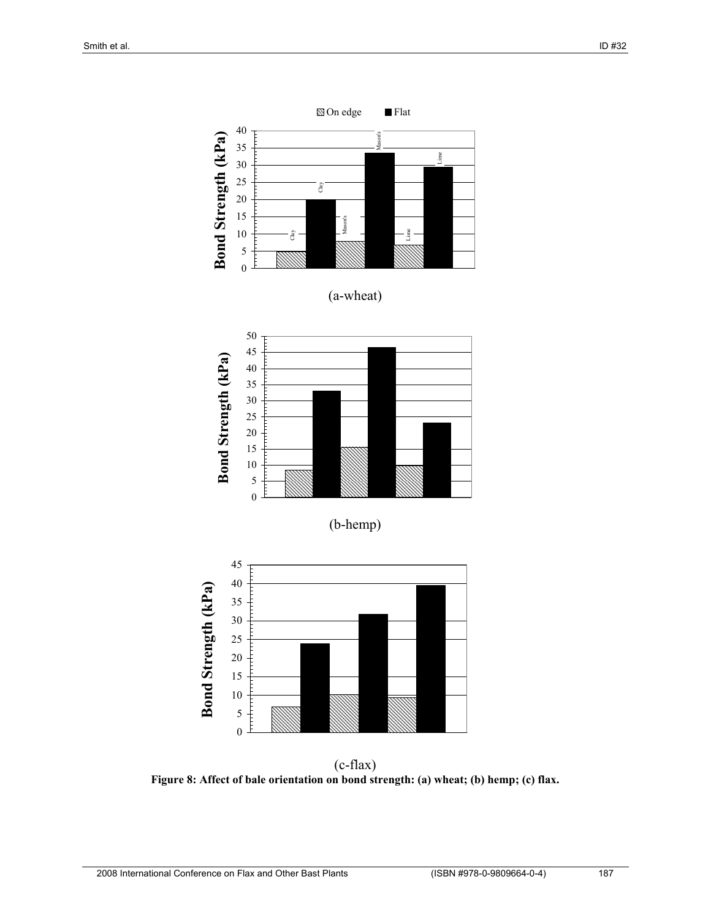

**Figure 8: Affect of bale orientation on bond strength: (a) wheat; (b) hemp; (c) flax.**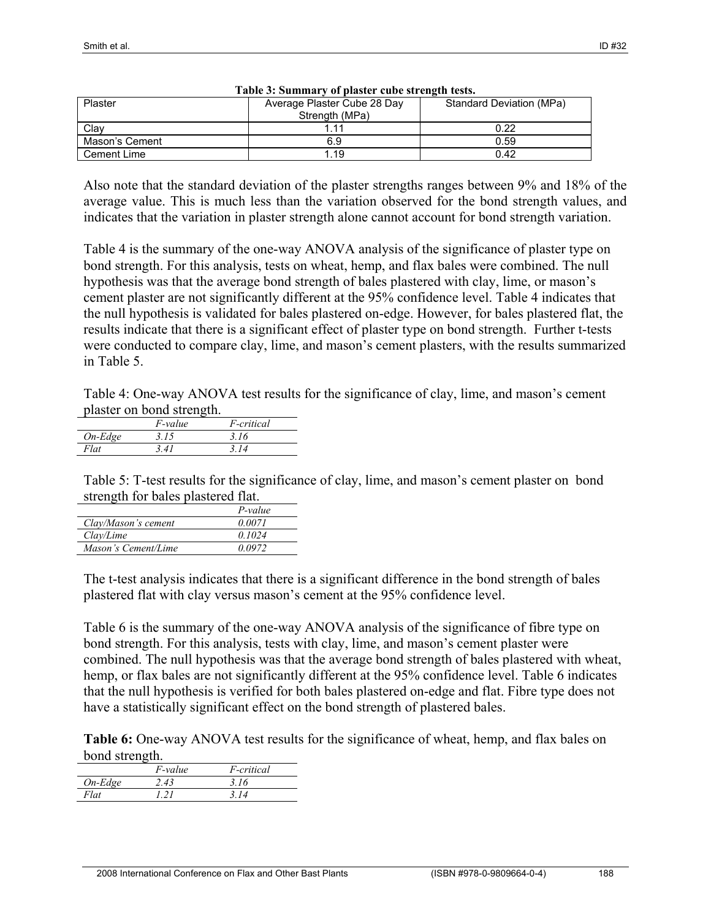| Plaster        | Average Plaster Cube 28 Day<br>Strength (MPa) | Standard Deviation (MPa) |
|----------------|-----------------------------------------------|--------------------------|
| Clav           |                                               | 0.22                     |
| Mason's Cement | 6.9                                           | 0.59                     |
| Cement Lime    | 1.19                                          | 0.42                     |

| Table 3: Summary of plaster cube strength tests. |  |  |  |  |  |  |  |
|--------------------------------------------------|--|--|--|--|--|--|--|
|--------------------------------------------------|--|--|--|--|--|--|--|

Also note that the standard deviation of the plaster strengths ranges between 9% and 18% of the average value. This is much less than the variation observed for the bond strength values, and indicates that the variation in plaster strength alone cannot account for bond strength variation.

Table 4 is the summary of the one-way ANOVA analysis of the significance of plaster type on bond strength. For this analysis, tests on wheat, hemp, and flax bales were combined. The null hypothesis was that the average bond strength of bales plastered with clay, lime, or mason's cement plaster are not significantly different at the 95% confidence level. Table 4 indicates that the null hypothesis is validated for bales plastered on-edge. However, for bales plastered flat, the results indicate that there is a significant effect of plaster type on bond strength. Further t-tests were conducted to compare clay, lime, and mason's cement plasters, with the results summarized in Table 5.

Table 4: One-way ANOVA test results for the significance of clay, lime, and mason's cement plaster on bond strength.

|           | <i>F</i> -value | <i>F-critical</i> |
|-----------|-----------------|-------------------|
| $On-Edge$ | 3.15            | 3.16              |
| Flat      | 341             | 3 14              |
|           |                 |                   |

Table 5: T-test results for the significance of clay, lime, and mason's cement plaster on bond strength for bales plastered flat.

|                     | $P-value$ |
|---------------------|-----------|
| Clay/Mason's cement | 0.0071    |
| Clav/Lime           | 0.1024    |
| Mason's Cement/Lime | 0.0972    |

The t-test analysis indicates that there is a significant difference in the bond strength of bales plastered flat with clay versus mason's cement at the 95% confidence level.

Table 6 is the summary of the one-way ANOVA analysis of the significance of fibre type on bond strength. For this analysis, tests with clay, lime, and mason's cement plaster were combined. The null hypothesis was that the average bond strength of bales plastered with wheat, hemp, or flax bales are not significantly different at the 95% confidence level. Table 6 indicates that the null hypothesis is verified for both bales plastered on-edge and flat. Fibre type does not have a statistically significant effect on the bond strength of plastered bales.

**Table 6:** One-way ANOVA test results for the significance of wheat, hemp, and flax bales on bond strength.

|           | <i>F-value</i> | <i>F-critical</i> |
|-----------|----------------|-------------------|
| $On-Edge$ | 2.43           | 3.16              |
| Flat      |                | 314               |